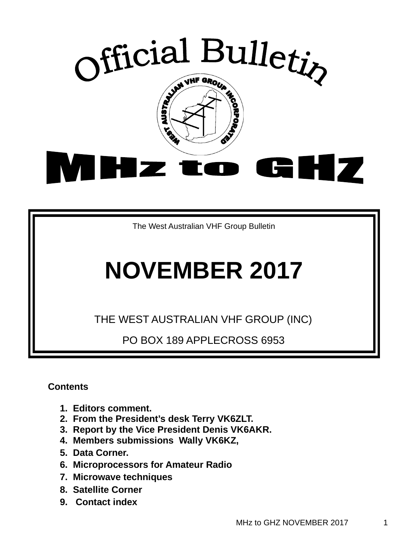

The West Australian VHF Group Bulletin

# **NOVEMBER 2017**

THE WEST AUSTRALIAN VHF GROUP (INC)

PO BOX 189 APPLECROSS 6953

**Contents** 

- **1. Editors comment.**
- **2. From the President's desk Terry VK6ZLT.**
- **3. Report by the Vice President Denis VK6AKR.**
- **4. Members submissions Wally VK6KZ,**
- **5. Data Corner.**
- **6. Microprocessors for Amateur Radio**
- **7. Microwave techniques**
- **8. Satellite Corner**
- **9. Contact index**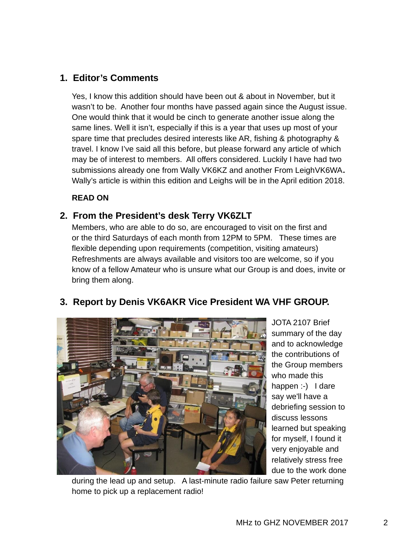# **1. Editor's Comments**

Yes, I know this addition should have been out & about in November, but it wasn't to be. Another four months have passed again since the August issue. One would think that it would be cinch to generate another issue along the same lines. Well it isn't, especially if this is a year that uses up most of your spare time that precludes desired interests like AR, fishing & photography & travel. I know I've said all this before, but please forward any article of which may be of interest to members. All offers considered. Luckily I have had two submissions already one from Wally VK6KZ and another From LeighVK6WA**.**  Wally's article is within this edition and Leighs will be in the April edition 2018.

**READ ON** 

# **2. From the President's desk Terry VK6ZLT**

Members, who are able to do so, are encouraged to visit on the first and or the third Saturdays of each month from 12PM to 5PM. These times are flexible depending upon requirements (competition, visiting amateurs) Refreshments are always available and visitors too are welcome, so if you know of a fellow Amateur who is unsure what our Group is and does, invite or bring them along.



JOTA 2107 Brief summary of the day and to acknowledge the contributions of the Group members who made this happen :-) I dare say we'll have a debriefing session to discuss lessons learned but speaking for myself, I found it very enjoyable and relatively stress free due to the work done

during the lead up and setup. A last-minute radio failure saw Peter returning home to pick up a replacement radio!

# **3. Report by Denis VK6AKR Vice President WA VHF GROUP.**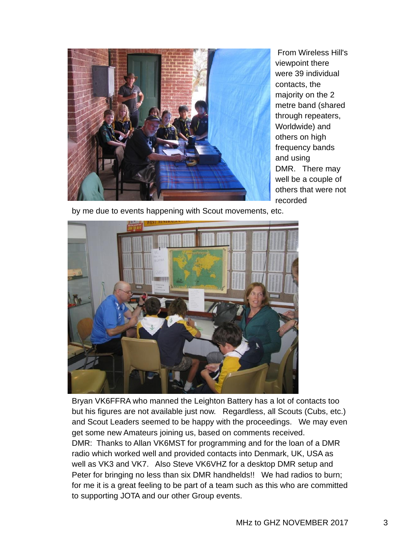

From Wireless Hill's viewpoint there were 39 individual contacts, the majority on the 2 metre band (shared through repeaters, Worldwide) and others on high frequency bands and using DMR. There may well be a couple of others that were not recorded

by me due to events happening with Scout movements, etc.



Bryan VK6FFRA who manned the Leighton Battery has a lot of contacts too but his figures are not available just now. Regardless, all Scouts (Cubs, etc.) and Scout Leaders seemed to be happy with the proceedings. We may even get some new Amateurs joining us, based on comments received. DMR: Thanks to Allan VK6MST for programming and for the loan of a DMR radio which worked well and provided contacts into Denmark, UK, USA as well as VK3 and VK7. Also Steve VK6VHZ for a desktop DMR setup and Peter for bringing no less than six DMR handhelds!! We had radios to burn; for me it is a great feeling to be part of a team such as this who are committed to supporting JOTA and our other Group events.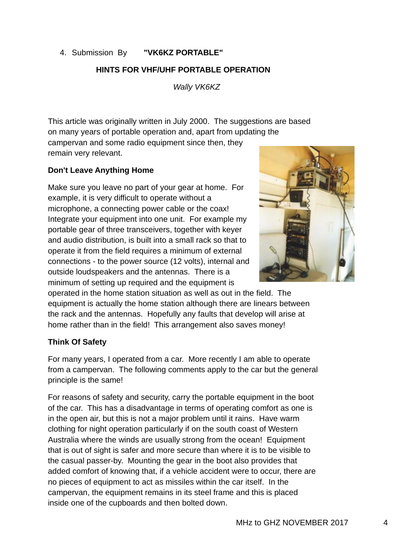#### 4. Submission By **"VK6KZ PORTABLE"**

#### **HINTS FOR VHF/UHF PORTABLE OPERATION**

*Wally VK6KZ* 

This article was originally written in July 2000. The suggestions are based on many years of portable operation and, apart from updating the campervan and some radio equipment since then, they remain very relevant.

#### **Don't Leave Anything Home**

Make sure you leave no part of your gear at home. For example, it is very difficult to operate without a microphone, a connecting power cable or the coax! Integrate your equipment into one unit. For example my portable gear of three transceivers, together with keyer and audio distribution, is built into a small rack so that to operate it from the field requires a minimum of external connections - to the power source (12 volts), internal and outside loudspeakers and the antennas. There is a minimum of setting up required and the equipment is



operated in the home station situation as well as out in the field. The equipment is actually the home station although there are linears between the rack and the antennas. Hopefully any faults that develop will arise at home rather than in the field! This arrangement also saves money!

#### **Think Of Safety**

For many years, I operated from a car. More recently I am able to operate from a campervan. The following comments apply to the car but the general principle is the same!

For reasons of safety and security, carry the portable equipment in the boot of the car. This has a disadvantage in terms of operating comfort as one is in the open air, but this is not a major problem until it rains. Have warm clothing for night operation particularly if on the south coast of Western Australia where the winds are usually strong from the ocean! Equipment that is out of sight is safer and more secure than where it is to be visible to the casual passer-by. Mounting the gear in the boot also provides that added comfort of knowing that, if a vehicle accident were to occur, there are no pieces of equipment to act as missiles within the car itself. In the campervan, the equipment remains in its steel frame and this is placed inside one of the cupboards and then bolted down.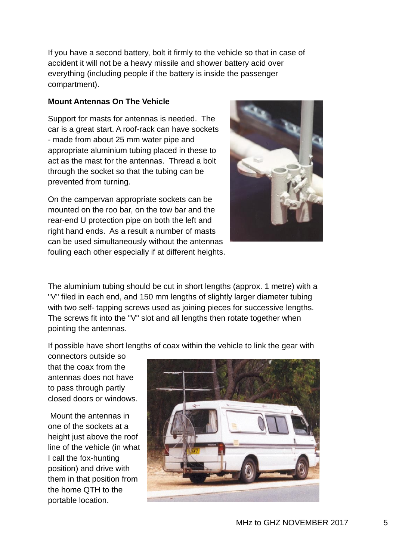If you have a second battery, bolt it firmly to the vehicle so that in case of accident it will not be a heavy missile and shower battery acid over everything (including people if the battery is inside the passenger compartment).

#### **Mount Antennas On The Vehicle**

Support for masts for antennas is needed. The car is a great start. A roof-rack can have sockets - made from about 25 mm water pipe and appropriate aluminium tubing placed in these to act as the mast for the antennas. Thread a bolt through the socket so that the tubing can be prevented from turning.

On the campervan appropriate sockets can be mounted on the roo bar, on the tow bar and the rear-end U protection pipe on both the left and right hand ends. As a result a number of masts can be used simultaneously without the antennas fouling each other especially if at different heights.



The aluminium tubing should be cut in short lengths (approx. 1 metre) with a "V" filed in each end, and 150 mm lengths of slightly larger diameter tubing with two self- tapping screws used as joining pieces for successive lengths. The screws fit into the "V" slot and all lengths then rotate together when pointing the antennas.

If possible have short lengths of coax within the vehicle to link the gear with

connectors outside so that the coax from the antennas does not have to pass through partly closed doors or windows.

Mount the antennas in one of the sockets at a height just above the roof line of the vehicle (in what I call the fox-hunting position) and drive with them in that position from the home QTH to the portable location.

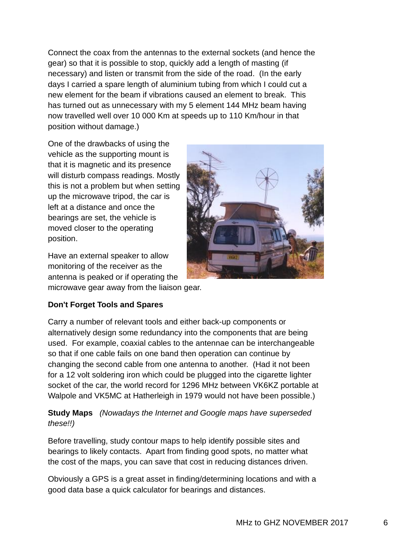Connect the coax from the antennas to the external sockets (and hence the gear) so that it is possible to stop, quickly add a length of masting (if necessary) and listen or transmit from the side of the road. (In the early days I carried a spare length of aluminium tubing from which I could cut a new element for the beam if vibrations caused an element to break. This has turned out as unnecessary with my 5 element 144 MHz beam having now travelled well over 10 000 Km at speeds up to 110 Km/hour in that position without damage.)

One of the drawbacks of using the vehicle as the supporting mount is that it is magnetic and its presence will disturb compass readings. Mostly this is not a problem but when setting up the microwave tripod, the car is left at a distance and once the bearings are set, the vehicle is moved closer to the operating position.

Have an external speaker to allow monitoring of the receiver as the antenna is peaked or if operating the microwave gear away from the liaison gear.



#### **Don't Forget Tools and Spares**

Carry a number of relevant tools and either back-up components or alternatively design some redundancy into the components that are being used. For example, coaxial cables to the antennae can be interchangeable so that if one cable fails on one band then operation can continue by changing the second cable from one antenna to another. (Had it not been for a 12 volt soldering iron which could be plugged into the cigarette lighter socket of the car, the world record for 1296 MHz between VK6KZ portable at Walpole and VK5MC at Hatherleigh in 1979 would not have been possible.)

#### **Study Maps** *(Nowadays the Internet and Google maps have superseded these!!)*

Before travelling, study contour maps to help identify possible sites and bearings to likely contacts. Apart from finding good spots, no matter what the cost of the maps, you can save that cost in reducing distances driven.

Obviously a GPS is a great asset in finding/determining locations and with a good data base a quick calculator for bearings and distances.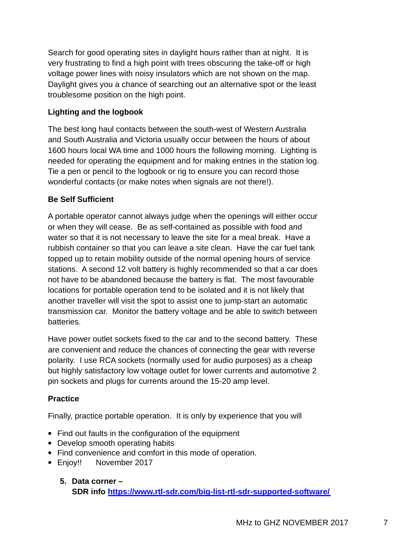Search for good operating sites in daylight hours rather than at night. It is very frustrating to find a high point with trees obscuring the take-off or high voltage power lines with noisy insulators which are not shown on the map. Daylight gives you a chance of searching out an alternative spot or the least troublesome position on the high point.

#### **Lighting and the logbook**

The best long haul contacts between the south-west of Western Australia and South Australia and Victoria usually occur between the hours of about 1600 hours local WA time and 1000 hours the following morning. Lighting is needed for operating the equipment and for making entries in the station log. Tie a pen or pencil to the logbook or rig to ensure you can record those wonderful contacts (or make notes when signals are not there!).

#### **Be Self Sufficient**

A portable operator cannot always judge when the openings will either occur or when they will cease. Be as self-contained as possible with food and water so that it is not necessary to leave the site for a meal break. Have a rubbish container so that you can leave a site clean. Have the car fuel tank topped up to retain mobility outside of the normal opening hours of service stations. A second 12 volt battery is highly recommended so that a car does not have to be abandoned because the battery is flat. The most favourable locations for portable operation tend to be isolated and it is not likely that another traveller will visit the spot to assist one to jump-start an automatic transmission car. Monitor the battery voltage and be able to switch between batteries.

Have power outlet sockets fixed to the car and to the second battery. These are convenient and reduce the chances of connecting the gear with reverse polarity. I use RCA sockets (normally used for audio purposes) as a cheap but highly satisfactory low voltage outlet for lower currents and automotive 2 pin sockets and plugs for currents around the 15-20 amp level.

#### **Practice**

Finally, practice portable operation. It is only by experience that you will

- Find out faults in the configuration of the equipment
- Develop smooth operating habits
- Find convenience and comfort in this mode of operation.
- Enjoy!! November 2017
	- **5. Data corner SDR info https://www.rtl-sdr.com/big-list-rtl-sdr-supported-software/**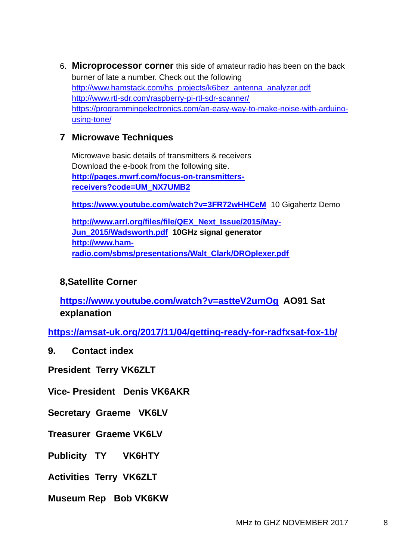6. **Microprocessor corner** this side of amateur radio has been on the back burner of late a number. Check out the following http://www.hamstack.com/hs\_projects/k6bez\_antenna\_analyzer.pdf http://www.rtl-sdr.com/raspberry-pi-rtl-sdr-scanner/ https://programmingelectronics.com/an-easy-way-to-make-noise-with-arduinousing-tone/

## **7 Microwave Techniques**

Microwave basic details of transmitters & receivers Download the e-book from the following site. **http://pages.mwrf.com/focus-on-transmittersreceivers?code=UM\_NX7UMB2**

**https://www.youtube.com/watch?v=3FR72wHHCeM** 10 Gigahertz Demo

**http://www.arrl.org/files/file/QEX\_Next\_Issue/2015/May-Jun\_2015/Wadsworth.pdf 10GHz signal generator http://www.hamradio.com/sbms/presentations/Walt\_Clark/DROplexer.pdf**

### **8,Satellite Corner**

**https://www.youtube.com/watch?v=astteV2umOg AO91 Sat explanation** 

**https://amsat-uk.org/2017/11/04/getting-ready-for-radfxsat-fox-1b/**

**9. Contact index** 

**President Terry VK6ZLT** 

**Vice- President Denis VK6AKR** 

**Secretary Graeme VK6LV** 

**Treasurer Graeme VK6LV** 

**Publicity TY VK6HTY** 

**Activities Terry VK6ZLT** 

**Museum Rep Bob VK6KW**